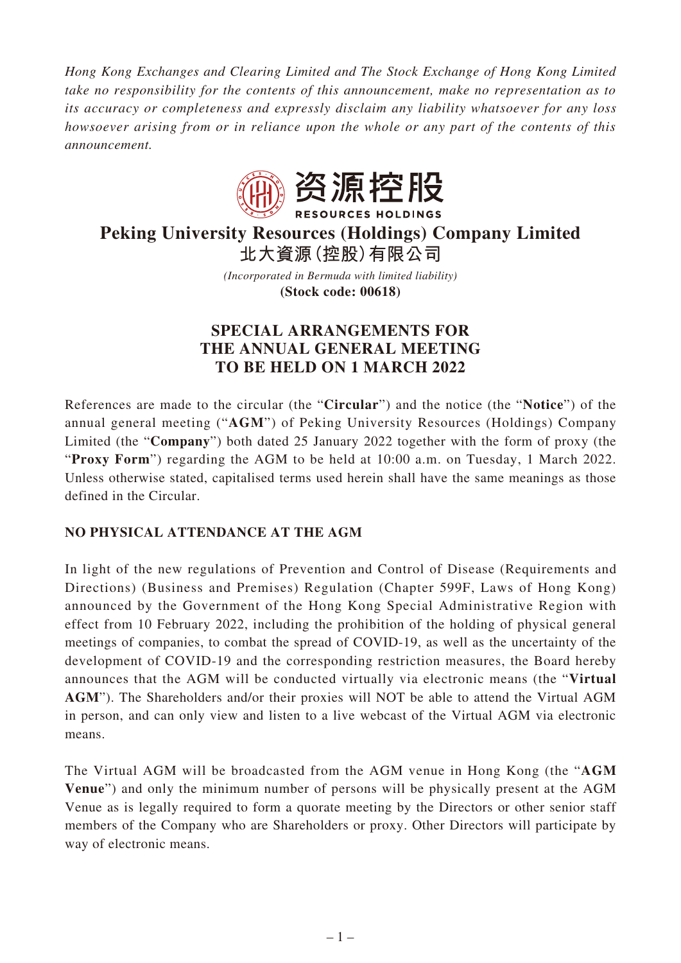*Hong Kong Exchanges and Clearing Limited and The Stock Exchange of Hong Kong Limited take no responsibility for the contents of this announcement, make no representation as to its accuracy or completeness and expressly disclaim any liability whatsoever for any loss howsoever arising from or in reliance upon the whole or any part of the contents of this announcement.*



# **Peking University Resources (Holdings) Company Limited 北大資源(控股)有限公司**

*(Incorporated in Bermuda with limited liability)* **(Stock code: 00618)**

# **SPECIAL ARRANGEMENTS FOR THE ANNUAL GENERAL MEETING TO BE HELD ON 1 MARCH 2022**

References are made to the circular (the "**Circular**") and the notice (the "**Notice**") of the annual general meeting ("**AGM**") of Peking University Resources (Holdings) Company Limited (the "**Company**") both dated 25 January 2022 together with the form of proxy (the "**Proxy Form**") regarding the AGM to be held at 10:00 a.m. on Tuesday, 1 March 2022. Unless otherwise stated, capitalised terms used herein shall have the same meanings as those defined in the Circular.

# **NO PHYSICAL ATTENDANCE AT THE AGM**

In light of the new regulations of Prevention and Control of Disease (Requirements and Directions) (Business and Premises) Regulation (Chapter 599F, Laws of Hong Kong) announced by the Government of the Hong Kong Special Administrative Region with effect from 10 February 2022, including the prohibition of the holding of physical general meetings of companies, to combat the spread of COVID-19, as well as the uncertainty of the development of COVID-19 and the corresponding restriction measures, the Board hereby announces that the AGM will be conducted virtually via electronic means (the "**Virtual AGM**"). The Shareholders and/or their proxies will NOT be able to attend the Virtual AGM in person, and can only view and listen to a live webcast of the Virtual AGM via electronic means.

The Virtual AGM will be broadcasted from the AGM venue in Hong Kong (the "**AGM Venue**") and only the minimum number of persons will be physically present at the AGM Venue as is legally required to form a quorate meeting by the Directors or other senior staff members of the Company who are Shareholders or proxy. Other Directors will participate by way of electronic means.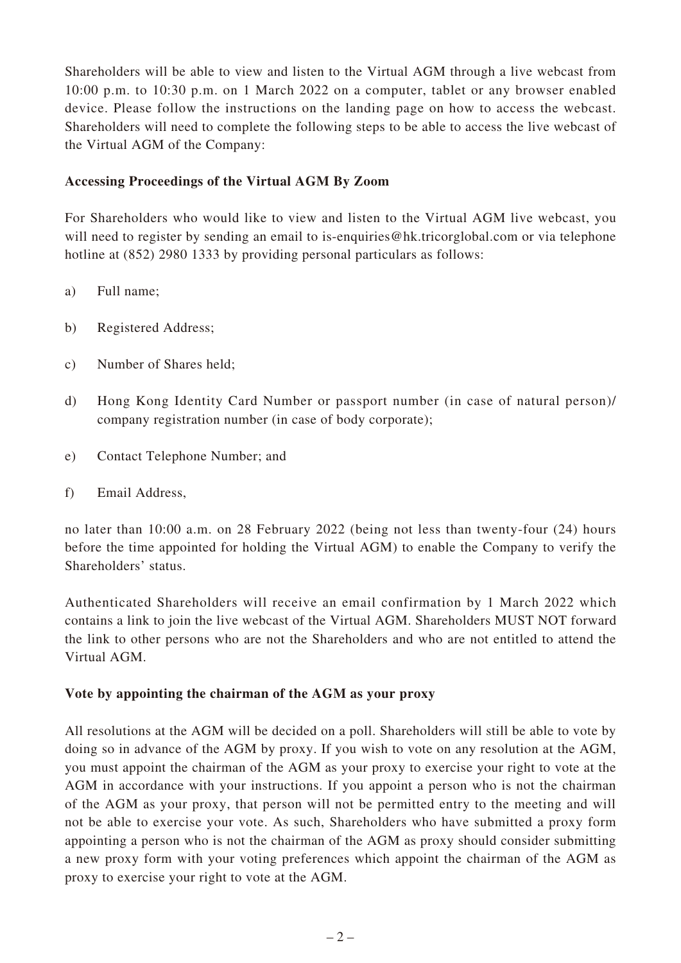Shareholders will be able to view and listen to the Virtual AGM through a live webcast from 10:00 p.m. to 10:30 p.m. on 1 March 2022 on a computer, tablet or any browser enabled device. Please follow the instructions on the landing page on how to access the webcast. Shareholders will need to complete the following steps to be able to access the live webcast of the Virtual AGM of the Company:

# **Accessing Proceedings of the Virtual AGM By Zoom**

For Shareholders who would like to view and listen to the Virtual AGM live webcast, you will need to register by sending an email to is-enquiries@hk.tricorglobal.com or via telephone hotline at (852) 2980 1333 by providing personal particulars as follows:

- a) Full name;
- b) Registered Address;
- c) Number of Shares held;
- d) Hong Kong Identity Card Number or passport number (in case of natural person)/ company registration number (in case of body corporate);
- e) Contact Telephone Number; and
- f) Email Address,

no later than 10:00 a.m. on 28 February 2022 (being not less than twenty-four (24) hours before the time appointed for holding the Virtual AGM) to enable the Company to verify the Shareholders' status.

Authenticated Shareholders will receive an email confirmation by 1 March 2022 which contains a link to join the live webcast of the Virtual AGM. Shareholders MUST NOT forward the link to other persons who are not the Shareholders and who are not entitled to attend the Virtual AGM.

#### **Vote by appointing the chairman of the AGM as your proxy**

All resolutions at the AGM will be decided on a poll. Shareholders will still be able to vote by doing so in advance of the AGM by proxy. If you wish to vote on any resolution at the AGM, you must appoint the chairman of the AGM as your proxy to exercise your right to vote at the AGM in accordance with your instructions. If you appoint a person who is not the chairman of the AGM as your proxy, that person will not be permitted entry to the meeting and will not be able to exercise your vote. As such, Shareholders who have submitted a proxy form appointing a person who is not the chairman of the AGM as proxy should consider submitting a new proxy form with your voting preferences which appoint the chairman of the AGM as proxy to exercise your right to vote at the AGM.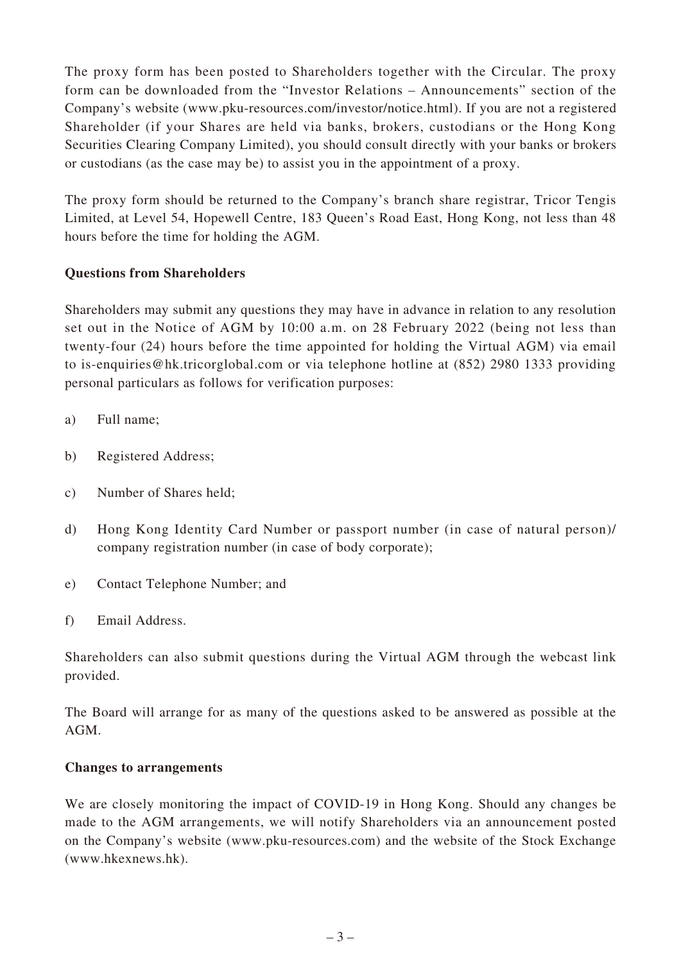The proxy form has been posted to Shareholders together with the Circular. The proxy form can be downloaded from the "Investor Relations – Announcements" section of the Company's website (www.pku-resources.com/investor/notice.html). If you are not a registered Shareholder (if your Shares are held via banks, brokers, custodians or the Hong Kong Securities Clearing Company Limited), you should consult directly with your banks or brokers or custodians (as the case may be) to assist you in the appointment of a proxy.

The proxy form should be returned to the Company's branch share registrar, Tricor Tengis Limited, at Level 54, Hopewell Centre, 183 Queen's Road East, Hong Kong, not less than 48 hours before the time for holding the AGM.

## **Questions from Shareholders**

Shareholders may submit any questions they may have in advance in relation to any resolution set out in the Notice of AGM by 10:00 a.m. on 28 February 2022 (being not less than twenty-four (24) hours before the time appointed for holding the Virtual AGM) via email to is-enquiries@hk.tricorglobal.com or via telephone hotline at (852) 2980 1333 providing personal particulars as follows for verification purposes:

- a) Full name;
- b) Registered Address;
- c) Number of Shares held;
- d) Hong Kong Identity Card Number or passport number (in case of natural person)/ company registration number (in case of body corporate);
- e) Contact Telephone Number; and
- f) Email Address.

Shareholders can also submit questions during the Virtual AGM through the webcast link provided.

The Board will arrange for as many of the questions asked to be answered as possible at the AGM.

#### **Changes to arrangements**

We are closely monitoring the impact of COVID-19 in Hong Kong. Should any changes be made to the AGM arrangements, we will notify Shareholders via an announcement posted on the Company's website (www.pku-resources.com) and the website of the Stock Exchange (www.hkexnews.hk).